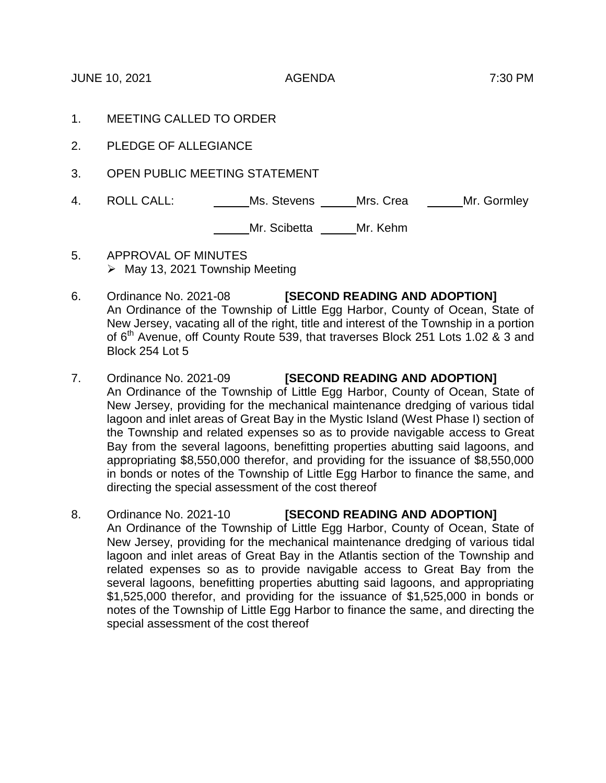JUNE 10, 2021 AGENDA 7:30 PM

- 1. MEETING CALLED TO ORDER
- 2. PLEDGE OF ALLEGIANCE
- 3. OPEN PUBLIC MEETING STATEMENT
- 4. ROLL CALL: Ms. Stevens Mrs. Crea Mr. Gormley

Mr. Scibetta \_\_\_\_\_\_ Mr. Kehm

- 5. APPROVAL OF MINUTES  $\triangleright$  May 13, 2021 Township Meeting
- 6. Ordinance No. 2021-08 **[SECOND READING AND ADOPTION]** An Ordinance of the Township of Little Egg Harbor, County of Ocean, State of New Jersey, vacating all of the right, title and interest of the Township in a portion of 6<sup>th</sup> Avenue, off County Route 539, that traverses Block 251 Lots 1.02 & 3 and Block 254 Lot 5
- 7. Ordinance No. 2021-09 **[SECOND READING AND ADOPTION]** An Ordinance of the Township of Little Egg Harbor, County of Ocean, State of New Jersey, providing for the mechanical maintenance dredging of various tidal lagoon and inlet areas of Great Bay in the Mystic Island (West Phase I) section of the Township and related expenses so as to provide navigable access to Great Bay from the several lagoons, benefitting properties abutting said lagoons, and appropriating \$8,550,000 therefor, and providing for the issuance of \$8,550,000 in bonds or notes of the Township of Little Egg Harbor to finance the same, and directing the special assessment of the cost thereof
- 8. Ordinance No. 2021-10 **[SECOND READING AND ADOPTION]** An Ordinance of the Township of Little Egg Harbor, County of Ocean, State of New Jersey, providing for the mechanical maintenance dredging of various tidal lagoon and inlet areas of Great Bay in the Atlantis section of the Township and related expenses so as to provide navigable access to Great Bay from the several lagoons, benefitting properties abutting said lagoons, and appropriating \$1,525,000 therefor, and providing for the issuance of \$1,525,000 in bonds or notes of the Township of Little Egg Harbor to finance the same, and directing the special assessment of the cost thereof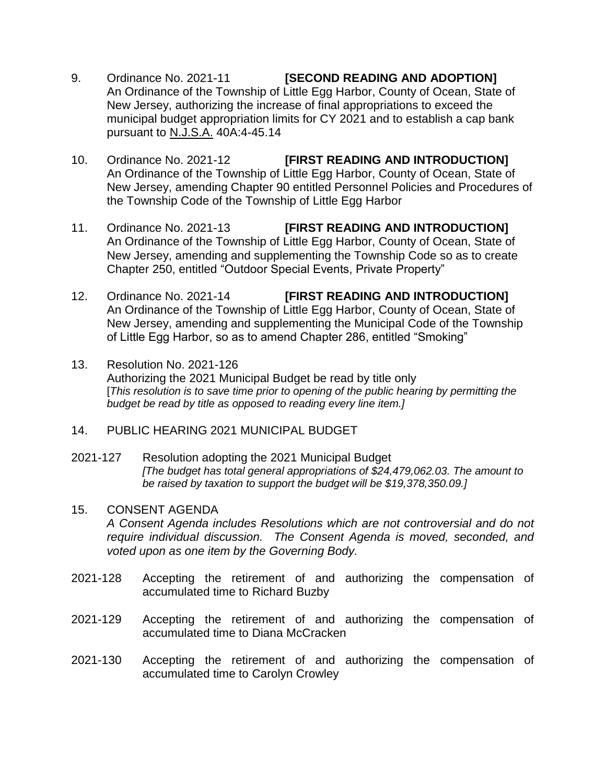- 9. Ordinance No. 2021-11 **[SECOND READING AND ADOPTION]** An Ordinance of the Township of Little Egg Harbor, County of Ocean, State of New Jersey, authorizing the increase of final appropriations to exceed the municipal budget appropriation limits for CY 2021 and to establish a cap bank pursuant to N.J.S.A. 40A:4-45.14
- 10. Ordinance No. 2021-12 **[FIRST READING AND INTRODUCTION]** An Ordinance of the Township of Little Egg Harbor, County of Ocean, State of New Jersey, amending Chapter 90 entitled Personnel Policies and Procedures of the Township Code of the Township of Little Egg Harbor
- 11. Ordinance No. 2021-13 **[FIRST READING AND INTRODUCTION]** An Ordinance of the Township of Little Egg Harbor, County of Ocean, State of New Jersey, amending and supplementing the Township Code so as to create Chapter 250, entitled "Outdoor Special Events, Private Property"
- 12. Ordinance No. 2021-14 **[FIRST READING AND INTRODUCTION]** An Ordinance of the Township of Little Egg Harbor, County of Ocean, State of New Jersey, amending and supplementing the Municipal Code of the Township of Little Egg Harbor, so as to amend Chapter 286, entitled "Smoking"
- 13. Resolution No. 2021-126 Authorizing the 2021 Municipal Budget be read by title only [*This resolution is to save time prior to opening of the public hearing by permitting the budget be read by title as opposed to reading every line item.]*
- 14. PUBLIC HEARING 2021 MUNICIPAL BUDGET
- 2021-127 Resolution adopting the 2021 Municipal Budget *[The budget has total general appropriations of \$24,479,062.03. The amount to be raised by taxation to support the budget will be \$19,378,350.09.]*
- 15. CONSENT AGENDA *A Consent Agenda includes Resolutions which are not controversial and do not require individual discussion. The Consent Agenda is moved, seconded, and voted upon as one item by the Governing Body.*
- 2021-128 Accepting the retirement of and authorizing the compensation of accumulated time to Richard Buzby
- 2021-129 Accepting the retirement of and authorizing the compensation of accumulated time to Diana McCracken
- 2021-130 Accepting the retirement of and authorizing the compensation of accumulated time to Carolyn Crowley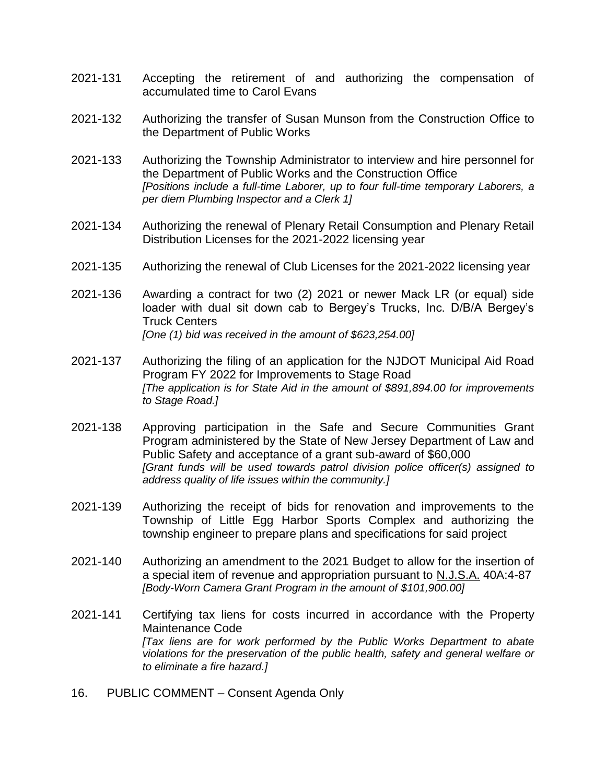- 2021-131 Accepting the retirement of and authorizing the compensation of accumulated time to Carol Evans
- 2021-132 Authorizing the transfer of Susan Munson from the Construction Office to the Department of Public Works
- 2021-133 Authorizing the Township Administrator to interview and hire personnel for the Department of Public Works and the Construction Office *[Positions include a full-time Laborer, up to four full-time temporary Laborers, a per diem Plumbing Inspector and a Clerk 1]*
- 2021-134 Authorizing the renewal of Plenary Retail Consumption and Plenary Retail Distribution Licenses for the 2021-2022 licensing year
- 2021-135 Authorizing the renewal of Club Licenses for the 2021-2022 licensing year
- 2021-136 Awarding a contract for two (2) 2021 or newer Mack LR (or equal) side loader with dual sit down cab to Bergey's Trucks, Inc. D/B/A Bergey's Truck Centers *[One (1) bid was received in the amount of \$623,254.00]*
- 2021-137 Authorizing the filing of an application for the NJDOT Municipal Aid Road Program FY 2022 for Improvements to Stage Road *[The application is for State Aid in the amount of \$891,894.00 for improvements to Stage Road.]*
- 2021-138 Approving participation in the Safe and Secure Communities Grant Program administered by the State of New Jersey Department of Law and Public Safety and acceptance of a grant sub-award of \$60,000 *[Grant funds will be used towards patrol division police officer(s) assigned to address quality of life issues within the community.]*
- 2021-139 Authorizing the receipt of bids for renovation and improvements to the Township of Little Egg Harbor Sports Complex and authorizing the township engineer to prepare plans and specifications for said project
- 2021-140 Authorizing an amendment to the 2021 Budget to allow for the insertion of a special item of revenue and appropriation pursuant to N.J.S.A. 40A:4-87 *[Body-Worn Camera Grant Program in the amount of \$101,900.00]*
- 2021-141 Certifying tax liens for costs incurred in accordance with the Property Maintenance Code *[Tax liens are for work performed by the Public Works Department to abate violations for the preservation of the public health, safety and general welfare or to eliminate a fire hazard.]*
- 16. PUBLIC COMMENT Consent Agenda Only